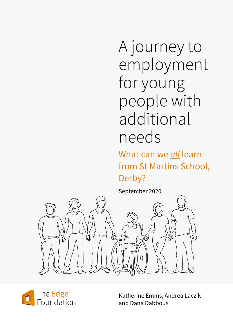A journey to employment for young people with additional needs

What can we *all* learn from St Martins School, Derby?

September 2020





Katherine Emms, Andrea Laczik and Dana Dabbous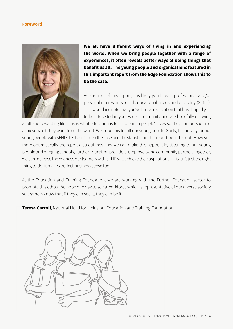### **Foreword**



**We all have different ways of living in and experiencing the world. When we bring people together with a range of experiences, it often reveals better ways of doing things that benefit us all. The young people and organisations featured in this important report from the Edge Foundation shows this to be the case.**

As a reader of this report, it is likely you have a professional and/or personal interest in special educational needs and disability (SEND). This would indicate that you've had an education that has shaped you to be interested in your wider community and are hopefully enjoying

a full and rewarding life. This is what education is for – to enrich people's lives so they can pursue and achieve what they want from the world. We hope this for all our young people. Sadly, historically for our young people with SEND this hasn't been the case and the statistics in this report bear this out. However, more optimistically the report also outlines how we can make this happen. By listening to our young people and bringing schools, Further Education providers, employers and community partners together, we can increase the chances our learners with SEND will achieve their aspirations. This isn't just the right thing to do, it makes perfect business sense too.

At the [Education and Training Foundation,](https://www.et-foundation.co.uk/supporting/professional-development/inclusion/special-educational-needs-disabilities-send-resources/) we are working with the Further Education sector to promote this ethos. We hope one day to see a workforce which is representative of our diverse society so learners know that if they can see it, they can be it!

**Teresa Carroll**, National Head for Inclusion, Education and Training Foundation

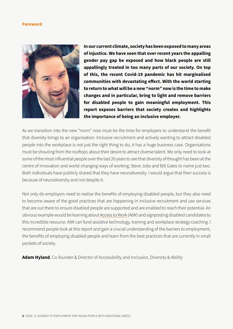#### **Foreword**



**In our current climate, society has been exposed to many areas of injustice. We have seen that over recent years the appalling gender pay gap be exposed and how black people are still appallingly treated in too many parts of our society. On top of this, the recent Covid-19 pandemic has hit marginalised communities with devastating effect. With the world starting to return to what will be a new "norm" now is the time to make changes and in particular, bring to light and remove barriers for disabled people to gain meaningful employment. This report exposes barriers that society creates and highlights the importance of being an inclusive employer.** 

As we transition into the new "norm" now must be the time for employers to understand the benefit that diversity brings to an organisation. Inclusive recruitment and actively wanting to attract disabled people into the workplace is not just the right thing to do, it has a huge business case. Organisations must be shouting from the rooftops about their desire to attract diverse talent. We only need to look at some of the most influential people over the last 20 years to see that diversity of thought has been at the centre of innovation and world-changing ways of working; Steve Jobs and Bill Gates to name just two. Both individuals have publicly shared that they have neurodiversity. I would argue that their success is because of neurodiversity and not despite it.

Not only do employers need to realise the benefits of employing disabled people, but they also need to become aware of the good practices that are happening in inclusive recruitment and use services that are out there to ensure disabled people are supported and are enabled to reach their potential. An obvious example would be learning about [Access to Work](https://www.gov.uk/access-to-work) (AtW) and signposting disabled candidates to this incredible resource. AtW can fund assistive technology, training and workplace strategy coaching. I recommend people look at this report and gain a crucial understanding of the barriers to employment, the benefits of employing disabled people and learn from the best practices that are currently in small pockets of society.

**Adam Hyland**, Co-founder & Director of Accessibility and Inclusion, Diversity & Ability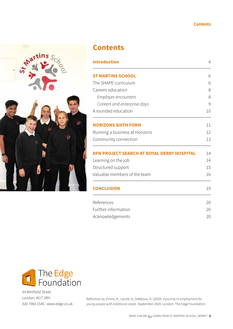## **Contents**



# **Contents**

| <b>Introduction</b>                               | $\overline{4}$ |
|---------------------------------------------------|----------------|
| <b>ST MARTINS SCHOOL</b>                          | 6              |
| The SHAPE curriculum                              | 6              |
| Careers education                                 | 8              |
| <i>Employer encounters</i>                        | 8              |
| Careers and enterprise days                       | 9              |
| A rounded education                               | 10             |
| <b>HORIZONS SIXTH FORM</b>                        | 11             |
| Running a business at Horizons                    | 12             |
| Community connection                              | 13             |
| <b>DEN PROJECT SEARCH AT ROYAL DERBY HOSPITAL</b> | 14             |
| Learning on the job                               | 14             |
| Structured support                                | 15             |
| Valuable members of the team                      | 16             |
| <b>CONCLUSION</b>                                 | 19             |
| References                                        | 20             |
| Further information                               | 20             |
| Acknowledgements                                  | 20             |



44 Whitfield Street London, W1T 2RH 020 7960 1540 . www.edge.co.uk

Reference as: Emms, K., Laczik, A., Dabbous, D. (2020). *A journey to employment for young people with additional needs.* September 2020. London: The Edge Foundation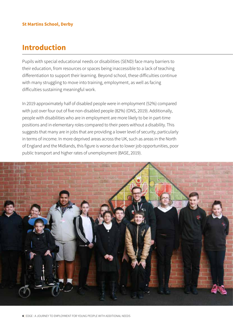# <span id="page-4-0"></span>**Introduction**

Pupils with special educational needs or disabilities (SEND) face many barriers to their education, from resources or spaces being inaccessible to a lack of teaching differentiation to support their learning. Beyond school, these difficulties continue with many struggling to move into training, employment, as well as facing difficulties sustaining meaningful work.

In 2019 approximately half of disabled people were in employment (52%) compared with just over four out of five non-disabled people (82%) (ONS, 2019). Additionally, people with disabilities who are in employment are more likely to be in part-time positions and in elementary roles compared to their peers without a disability. This suggests that many are in jobs that are providing a lower level of security, particularly in terms of income. In more deprived areas across the UK, such as areas in the North of England and the Midlands, this figure is worse due to lower job opportunities, poor public transport and higher rates of unemployment (BASE, 2019).

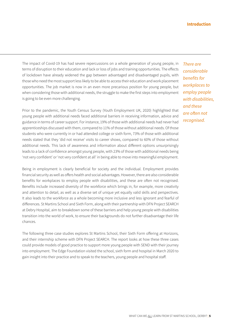The impact of Covid-19 has had severe repercussions on a whole generation of young people, in terms of disruption to their education and lack or loss of jobs and training opportunities. The effects of lockdown have already widened the gap between advantaged and disadvantaged pupils, with those who need the most support less likely to be able to access their education and work placement opportunities. The job market is now in an even more precarious position for young people, but when considering those with additional needs, the struggle to make the first steps into employment is going to be even more challenging.

Prior to the pandemic, the Youth Census Survey (Youth Employment UK, 2020) highlighted that young people with additional needs faced additional barriers in receiving information, advice and guidance in terms of career support. For instance, 19% of those with additional needs had never had apprenticeships discussed with them, compared to 11% of those without additional needs. Of those students who were currently in or had attended college or sixth form, 73% of those with additional needs stated that they 'did not receive' visits to career shows, compared to 60% of those without additional needs. This lack of awareness and information about different options unsurprisingly leads to a lack of confidence amongst young people, with 23% of those with additional needs being 'not very confident' or 'not very confident at all' in being able to move into meaningful employment.

Being in employment is clearly beneficial for society and the individual. Employment provides financial security as well as offers health and social advantages. However, there are also considerable benefits for workplaces to employ people with disabilities, and these are often not recognised. Benefits include increased diversity of the workforce which brings in, for example, more creativity and attention to detail, as well as a diverse set of unique yet equally valid skills and perspectives. It also leads to the workforce as a whole becoming more inclusive and less ignorant and fearful of differences. St Martins School and Sixth Form, along with their partnership with DFN Project SEARCH at Debry Hospital, aim to breakdown some of these barriers and help young people with disabilities transition into the world of work, to ensure their backgrounds do not further disadvantage their life chances.

The following three case studies explores St Martins School, their Sixth Form offering at Horizons, and their internship scheme with DFN Project SEARCH. The report looks at how these three cases could provide models of good practice to support more young people with SEND with their journey into employment. The Edge Foundation visited the school, sixth form and hospital in March 2020 to gain insight into their practice and to speak to the teachers, young people and hospital staff.

*There are considerable benefits for workplaces to employ people with disabilities, and these are often not recognised.*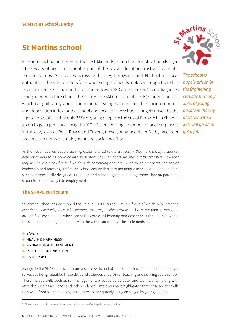# <span id="page-6-0"></span>**St Martins school**

St Martins School in Derby, in the East Midlands, is a school for SEND pupils aged 11-19 years of age. The school is part of the Shaw Education Trust and currently provides almost 200 places across Derby city, Derbyshire and Nottingham local authorities. The school caters for a whole range of needs, notably though there has been an increase in the number of students with ASD and Complex Needs diagnoses being referred to the school. There are 64% FSM (free school meals) students on roll, which is significantly above the national average and reflects the socio-economic and deprivation index for the school and locality. The school is hugely driven by the frightening statistic that only 3.8% of young people in the city of Derby with a SEN will go on to get a job (Local Insight, 2019). Despite having a number of large employers in the city, such as Rolls-Royce and Toyota, these young people in Derby face poor prospects in terms of employment and social mobility.

As the Head Teacher, Debbie Gerring, explains '*most of our students, if they have the right support network around them, could go into work. Many of our students are able, but the statistics show that they will have a bleak future if we don't do something about it*.' Given these prospects, the senior leadership and teaching staff at the school ensure that through unique aspects of their education, such as a specifically designed curriculum and a thorough careers programme, they prepare their students for a pathway into employment.

# **The SHAPE curriculum**

St Martins School has developed the unique SHAPE curriculum, the focus of which is '*on creating confident individuals, successful learners, and responsible citizens*' 1 . The curriculum is designed around five key elements which are at the core of all learning and experiences that happen within the school and during interactions with the wider community. These elements are:

- $\bullet$  SAFETY
- $\bullet$  HEALTH & HAPPINESS
- $\bullet$  ASPIRATION & ACHIEVEMENT
- **POSITIVE CONTRIBUTION**
- $\bullet$  ENTERPRISE

Alongside the SHAPE curriculum are a set of skills and attitudes that have been cited in employer surveys as being valuable. These skills and attitudes underpin all teaching and learning at the school. These include skills such as self-management, effective participator and team worker, along with attitudes such as resilience and independence. Employers have highlighted that these are the skills they want from all their employees but are not adequately being displayed by young recruits.

1. St Martins school:<https://www.stmartinsschoolderby.co.uk/gallery/shape-information/>

*The school is hugely driven by the frightening statistic that only 3.8% of young people in the city of Derby with a SEN will go on to get a job*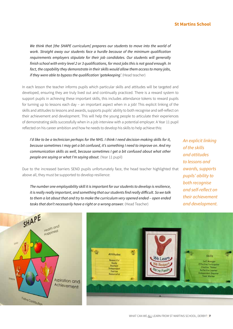## **St Martins School**

We think that [the SHAPE curriculum] prepares our students to move into the world of *work. Straight away our students face a hurdle because of the minimum qualification requirements employers stipulate for their job candidates. Our students will generally finish school with entry level 2 or 3 qualifications, for most jobs this is not good enough. In fact, the capability they demonstrate in their skills would allow them access to many jobs, if they were able to bypass the qualification 'qatekeeping'.* (Head teacher)

In each lesson the teacher informs pupils which particular skills and attitudes will be targeted and developed, ensuring they are truly lived out and continually practiced. There is a reward system to support pupils in achieving these important skills, this includes attendance tokens to reward pupils for turning up to lessons each day – an important aspect when in a job! This explicit linking of the skills and attitudes to lessons and awards, supports pupils' ability to both recognise and self-reflect on their achievement and development. This will help the young people to articulate their experiences of demonstrating skills successfully when in a job interview with a potential employer. A Year 11 pupil reflected on his career ambition and how he needs to develop his skills to help achieve this:

*I'd like to be a technician perhaps for the NHS. I think I need decision-making skills for it, because sometimes I may get a bit confused, it's something I need to improve on. And my communication skills as well, because sometimes I get a bit confused about what other people are saying or what I'm saying about.* (Year 11 pupil)

Due to the increased barriers SEND pupils unfortunately face, the head teacher highlighted that above all, they must be supported to develop resilience:

*The number one employability skill it is important for our students to develop is resilience, it is really really important, and something that our students find really difficult. So we talk to them a lot about that and try to make the curriculum very opened ended – open ended*  tasks that don't necessarily have a right or a wrong answer. (Head Teacher)

*An explicit linking of the skills and attitudes to lessons and awards, supports pupils' ability to both recognise and self-reflect on their achievement and development.* 



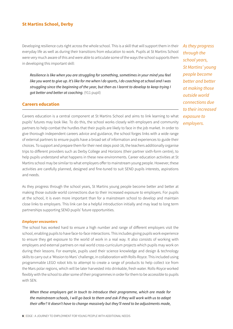<span id="page-8-0"></span>Developing resilience cuts right across the whole school. This is a skill that will support them in their everyday life as well as during their transitions from education to work. Pupils at St Martins School were very much aware of this and were able to articulate some of the ways the school supports them in developing this important skill:

*Resilience is like when you are struggling for something, sometimes in your mind you feel like you want to give up. It's like for me when I do sports, I do coaching at school and I was struggling since the beginning of the year, but then as I learnt to develop to keep trying I got better and better at coaching.* (Y11 pupil)

#### **Careers education**

Careers education is a central component at St Martins School and aims to link learning to what pupils' futures may look like. To do this, the school works closely with employers and community partners to help combat the hurdles that their pupils are likely to face in the job market. In order to give thorough independent careers advice and guidance, the school forges links with a wide range of external partners to ensure pupils have a broad set of information and experiences to guide their choices. To support and prepare them for their next steps post-16, the teachers additionally organise trips to different providers such as Derby College and Horizons (their partner sixth-form centre), to help pupils understand what happens in these new environments. Career education activities at St Martins school may be similar to what employers offer to mainstream young people. However, these activities are carefully planned, designed and fine-tuned to suit SEND pupils interests, aspirations and needs.

As they progress through the school years, St Martins young people become better and better at making those outside world connections due to their increased exposure to employers. For pupils at the school, it is even more important than for a mainstream school to develop and maintain close links to employers. This link can be a helpful introduction initially and may lead to long term partnerships supporting SEND pupils' future opportunities.

#### *Employer encounters*

The school has worked hard to ensure a high number and range of different employers visit the school, enabling pupils to have face-to-face interactions. This includes giving pupils work experience to ensure they get exposure to the world of work in a real way. It also consists of working with employers and external partners on real world cross-curriculum projects which pupils may work on during their lessons. For example, pupils used their science knowledge and design & technology skills to carry out a 'Mission to Mars' challenge, in collaboration with Rolls-Royce. This included using programmable LEGO robot kits to attempt to create a range of products to help collect ice from the Mars polar regions, which will be later harvested into drinkable, fresh water. Rolls-Royce worked flexibly with the school to alter some of their programmes in order for them to be accessible to pupils with SEN.

*When these employers get in touch to introduce their programme, which are made for the mainstream schools, I will go back to them and ask if they will work with us to adapt their offer? It doesn't have to change massively but they'll need to be adjustments made,* 

*As they progress through the school years, St Martins' young people become better and better at making those outside world connections due to their increased exposure to employers.*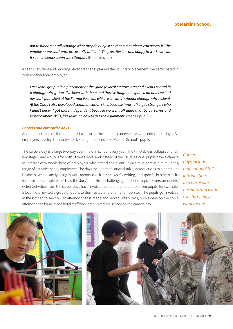## **St Martins School**

<span id="page-9-0"></span>*not to fundamentally change what they do but just so that our students can access it. The employers we work with are usually brilliant. They are flexible and happy to work with us. It soon becomes a win win situation.* (Head Teacher)

A Year 11 student and budding photographer explained the voluntary placement she participated in with another local employer.

*Last year I got put in a placement at the Quad [a local creative arts and events centre] in a photography group, I've been with them and they've taught me quite a lot and I've had my work published at the Format Festival, which is an international photography festival. At the Quad I also developed communication skills because I was talking to strangers who I didn't know. I got more independent because we went off quite a lot by ourselves and learnt camera skills, like learning how to use the equipment. (Year 11 pupil)* 

#### *Careers and enterprise days*

Another element of the careers education is the annual careers days and enterprise days. All employers develop their activities keeping the needs of St Martins School's pupils in mind.

The careers day is a large two-day event held in school every year. The timetable is collapsed for all key stage 3 and 4 pupils for both of these days, and instead of the usual lessons, pupils have a chance to interact with whole host of employers who attend the event. Pupils take part in a stimulating range of activities set by employers. The days include motivational talks, introductions to a particular business, what exactly being in work means, mock interviews, CV writing, and specific business tasks for pupils to complete, such as the Jury's Inn Hotel challenging students to put covers on duvets. Other activities from the career days have involved additional preparation from pupils; for example, a local hotel invited a group of pupils to their restaurant for an afternoon tea. The pupils got involved in the kitchen to see how an afternoon tea is made and served. Afterwards, pupils develop their own afternoon tea for all those hotel staff who later visited the school on the careers day.

*Careers days include motivational talks, introductions to a particular business and what exactly being in work means ...*



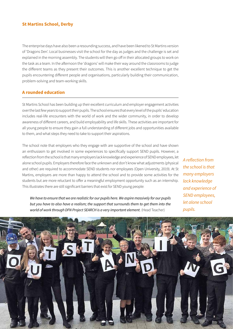<span id="page-10-0"></span>The enterprise days have also been a resounding success, and have been likened to St Martins version of 'Dragons Den'. Local businesses visit the school for the day as judges and the challenge is set and explained in the morning assembly. The students will then go off in their allocated groups to work on the task as a team. In the afternoon the 'dragons' will make their way around the classrooms to judge the different teams as they present their outcomes. This is another excellent technique to get the pupils encountering different people and organisations, particularly building their communication, problem-solving and team-working skills.

### **A rounded education**

St Martins School has been building up their excellent curriculum and employer engagement activities over the last few years to support their pupils. The school ensures that every level of the pupils' education includes real-life encounters with the world of work and the wider community, in order to develop awareness of different careers, and build employability and life skills. These activities are important for all young people to ensure they gain a full understanding of different jobs and opportunities available to them, and what steps they need to take to support their aspirations.

The school note that employers who they engage with are supportive of the school and have shown an enthusiasm to get involved in some experiences to specifically support SEND pupils. However, a reflection from the school is that many employers lack knowledge and experience of SEND employees, let alone school pupils. Employers therefore face the unknown and don't know what adjustments (physical and other) are required to accommodate SEND students nor employees (Open University, 2019). At St Martins, employers are more than happy to attend the school and to provide some activities for the students but are more reluctant to offer a meaningful employment opportunity such as an internship. This illustrates there are still significant barriers that exist for SEND young people:

*A reflection from the school is that many employers lack knowledge and experience of SEND employees, let alone school pupils.*

*We have to ensure that we are realistic for our pupils here. We aspire massively for our pupils but you have to also have a realism; the support that surrounds them to get them into the world of work through DFN Project SEARCH is a very important element.* (Head Teacher)

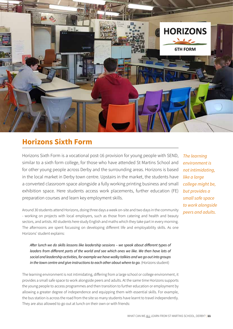<span id="page-11-0"></span>

# **Horizons Sixth Form**

Horizons Sixth Form is a vocational post-16 provision for young people with SEND, similar to a sixth form college, for those who have attended St Martins School and for other young people across Derby and the surrounding areas. Horizons is based in the local market in Derby town centre. Upstairs in the market, the students have a converted classroom space alongside a fully working printing business and small exhibition space. Here students access work placements, further education (FE) preparation courses and learn key employment skills.

Around 30 students attend Horizons, doing three days a week on-site and two days in the community - working on projects with local employers, such as those from catering and health and beauty sectors, and artists. All students here study English and maths which they take part in every morning. The afternoons are spent focussing on developing different life and employability skills. As one Horizons' student explains:

*After lunch we do skills lessons like leadership sessions – we speak about different types of leaders from different parts of the world and see which ones we like. We then have lots of social and leadership activities, for example we have walky talkies and we go out into groups*  in the town centre and give instructions to each other about where to go. (Horizons student)

The learning environment is not intimidating, differing from a large school or college environment, it provides a small safe space to work alongside peers and adults. At the same time Horizons supports the young people to access programmes and then transition to further education or employment by allowing a greater degree of independence and equipping them with essential skills. For example, the bus station is across the road from the site so many students have learnt to travel independently. They are also allowed to go out at lunch on their own or with friends:

*The learning environment is not intimidating, like a large college might be, but provides a small safe space to work alongside peers and adults.*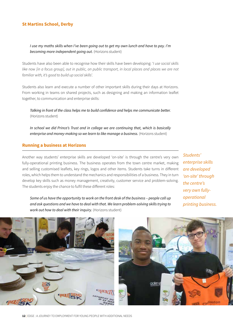<span id="page-12-0"></span>*I use my maths skills when I've been going out to get my own lunch and have to pay. I'm becoming more independent going out.* (Horizons student)

Students have also been able to recognise how their skills have been developing: '*I use social skills like now [in a focus group], out in public, on public transport, in local places and places we are not familiar with, it's good to build up social skills*'.

Students also learn and execute a number of other important skills during their days at Horizons. From working in teams on shared projects, such as designing and making an information leaflet together, to communication and enterprise skills:

*Talking in front of the class helps me to build confidence and helps me communicate better.*  (Horizons student)

*In school we did Prince's Trust and in college we are continuing that, which is basically enterprise and money-making so we learn to like manage a business.* (Horizons student)

### **Running a business at Horizons**

Another way students' enterprise skills are developed 'on-site' is through the centre's very own fully-operational printing business. The business operates from the town centre market, making and selling customised leaflets, key rings, logos and other items. Students take turns in different roles, which helps them to understand the mechanics and responsibilities of a business. They in turn develop key skills such as money management, creativity, customer service and problem-solving. The students enjoy the chance to fulfil these different roles:

*Students' enterprise skills are developed 'on-site' through the centre's very own fullyoperational printing business.*

*Some of us have the opportunity to work on the front desk of the business – people call up and ask questions and we have to deal with that. We learn problem-solving skills trying to work out how to deal with their inquiry.* (Horizons student)

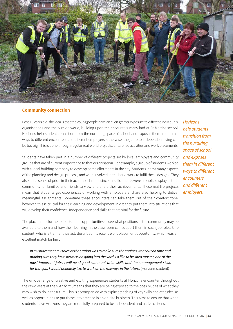<span id="page-13-0"></span>

#### **Community connection**

Post-16 years old, the idea is that the young people have an even greater exposure to different individuals, organisations and the outside world, building upon the encounters many had at St Martins school. Horizons help students transition from the nurturing space of school and exposes them in different ways to different encounters and different employers, otherwise, the jump to independent living can be too big. This is done through regular real-world projects, enterprise activities and work placements.

Students have taken part in a number of different projects set by local employers and community groups that are of current importance to that organisation. For example, a group of students worked with a local building company to develop some allotments in the city. Students learnt many aspects of the planning and design process, and were involved in the handiwork to fulfil these designs. They also felt a sense of pride in their accomplishment since the allotments were a public display in their community for families and friends to view and share their achievements. These real-life projects mean that students get experiences of working with employers and are also helping to deliver meaningful assignments. Sometime these encounters can take them out of their comfort zone, however, this is crucial for their learning and development in order to put them into situations that will develop their confidence, independence and skills that are vital for the future.

The placements further offer students opportunities to see what positions in the community may be available to them and how their learning in the classroom can support them in such job roles. One student, who is a train enthusiast, described his recent work placement opportunity, which was an excellent match for him:

*In my placement my roles at the station was to make sure the engines went out on time and making sure they have permission going into the yard. I'd like to be shed master, one of the most important jobs. I will need good communication skills and time management skills*  for that job. I would definitely like to work on the railways in the future. (Horizons student)

The unique range of creative and exciting experiences students at Horizons encounter throughout their two years at the sixth form, means that they are being exposed to the possibilities of what they may wish to do in the future. This is accompanied with explicit teaching of key skills and attitudes, as well as opportunities to put these into practice in an on-site business. This aims to ensure that when students leave Horizons they are more fully prepared to be independent and active citizens.

*Horizons help students transition from the nurturing space of school and exposes them in different ways to different encounters and different employers.*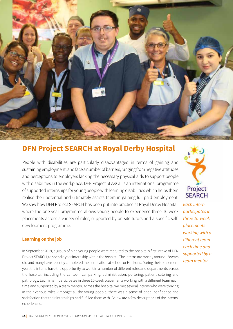<span id="page-14-0"></span>

# **DFN Project SEARCH at Royal Derby Hospital**

People with disabilities are particularly disadvantaged in terms of gaining and sustaining employment, and face a number of barriers, ranging from negative attitudes and perceptions to employers lacking the necessary physical aids to support people with disabilities in the workplace. DFN Project SEARCH is an international programme of supported internships for young people with learning disabilities which helps them realise their potential and ultimately assists them in gaining full paid employment. We saw how DFN Project SEARCH has been put into practice at Royal Derby Hospital, where the one-year programme allows young people to experience three 10-week placements across a variety of roles, supported by on-site tutors and a specific selfdevelopment programme.

# **Learning on the job**

In September 2019, a group of nine young people were recruited to the hospital's first intake of DFN Project SEARCH, to spend a year internship within the hospital. The interns are mostly around 18 years old and many have recently completed their education at school or Horizons. During their placement year, the interns have the opportunity to work in a number of different roles and departments across the hospital, including the canteen, car parking, administration, portering, patient catering and pathology. Each intern participates in three 10-week placements working with a different team each time and supported by a team mentor. Across the hospital we met several interns who were thriving in their various roles. Amongst all the young people, there was a sense of pride, confidence and satisfaction that their internships had fulfilled them with. Below are a few descriptions of the interns' experiences.



*Each intern participates in three 10-week placements working with a different team each time and supported by a team mentor.*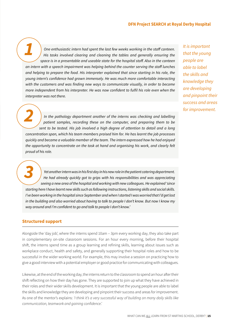#### **DFN Project SEARCH at Royal Derby Hospital**

<span id="page-15-0"></span>*One enthusiastic intern had spent the last few weeks working in the staff canteen. His tasks involved clearing and cleaning the tables and generally ensuring the space is in a presentable and useable state for the hospital staff. Also in the canteen an intern with a speech impairment was helping behind the counter serving the staff lunches and helping to prepare the food. His interpreter explained that since starting in his role, the young intern's confidence had grown immensely. He was much more comfortable interacting with the customers and was finding new ways to communicate visually, in order to become more independent from his interpreter. He was now confident to fulfil his role even when the interpreter was not there. 1*

*In the pathology department another of the interns was checking and labelling patient samples, recording these on the computer, and preparing them to be sent to be tested. His job involved a high degree of attention to detail and a long concentration span, which his team members praised him for. He has learnt the job processes quickly and became a valuable member of the team. The intern expressed how he had enjoyed the opportunity to concentrate on the task at hand and organising his work, and clearly felt proud of his role. 2*

*Yet another intern was in his first day in his new role in the patient catering department. He had already quickly got to grips with his responsibilities and was appreciating seeing a new area of the hospital and working with new colleagues. He explained 'since starting here I have learnt new skills such as following instructions, listening skills and social skills. I've been working in the hospital since September and when I started I was worried that I'd get lost in the building and also worried about having to talk to people I don't know. But now I know my way around and I'm confident to go and talk to people I don't know.' 3*

#### **Structured support**

Alongside the 'day job', where the interns spend 10am – 3pm every working day, they also take part in complementary on-site classroom sessions. For an hour every morning, before their hospital shift, the interns spend time as a group learning and refining skills, learning about issues such as workplace conduct, health and safety, and generally supporting their hospital roles and how to be successful in the wider working world. For example, this may involve a session on practicing how to give a good interview with a potential employer or good practice for communicating with colleagues.

Likewise, at the end of the working day, the interns return to the classroom to spend an hour after their shift reflecting on how their day has gone. They are supported to join up what they have achieved in their roles and their wider skills development. It is important that the young people are able to label the skills and knowledge they are developing and pinpoint their success and areas for improvement. As one of the mentor's explains: *'I think it's a very successful way of building on many daily skills like communication, teamwork and gaining confidence*.'

*It is important that the young people are able to label the skills and knowledge they are developing and pinpoint their success and areas for improvement.*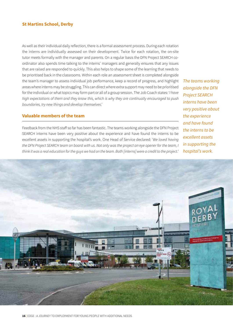<span id="page-16-0"></span>As well as their individual daily reflection, there is a formal assessment process. During each rotation the interns are individually assessed on their development. Twice for each rotation, the on-site tutor meets formally with the manager and parents. On a regular basis the DFN Project SEARCH coordinator also spends time talking to the interns' managers and generally ensures that any issues that are raised are responded to quickly. This also helps to shape some of the learning that needs to be prioritised back in the classrooms. Within each role an assessment sheet is completed alongside the team's manager to assess individual job performance, keep a record of progress, and highlight areas where interns may be struggling. This can direct where extra support may need to be prioritised for the individual or what topics may form part or all of a group session. The Job Coach states: '*I have high expectations of them and they know this, which is why they are continually encouraged to push boundaries, try new things and develop themselves*.'

### **Valuable members of the team**

Feedback from the NHS staff so far has been fantastic. The teams working alongside the DFN Project SEARCH interns have been very positive about the experience and have found the interns to be excellent assets in supporting the hospital's work. One Head of Service declared: '*We loved having the DFN Project SEARCH team on board with us. Not only was the project an eye opener for the team, I think it was a real education for the guys we had on the team. Both [interns] were a credit to the project.'*

*The teams working alongside the DFN Project SEARCH interns have been very positive about the experience and have found the interns to be excellent assets in supporting the hospital's work.*

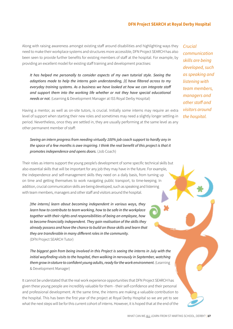#### **DFN Project SEARCH at Royal Derby Hospital**

Along with raising awareness amongst existing staff around disabilities and highlighting ways they need to make their workplace systems and structures more accessible, DFN Project SEARCH has also been seen to provide further benefits for existing members of staff at the hospital. For example, by providing an excellent model for existing staff training and development practises:

*It has helped me personally to consider aspects of my own tutorial style. Seeing the adaptions made to help the interns gain understanding, [I] have filtered across to my everyday training systems. As a business we have looked at how we can integrate staff and support them into the working life whether or not they have special educational needs or not.* (Learning & Development Manager at ISS Royal Derby Hospital)

Having a mentor, as well as on-site tutors, is crucial. Initially some interns may require an extra level of support when starting their new roles and sometimes may need a slightly longer settling-in period. Nevertheless, once they are settled in, they are usually performing at the same level as any other permanent member of staff:

## *Seeing an intern progress from needing virtually 100% job coach support to hardly any in the space of a few months is awe inspiring. I think the real benefit of this project is that it promotes independence and opens doors.* (Job Coach)

Their roles as interns support the young people's development of some specific technical skills but also essential skills that will be important for any job they may have in the future. For example, the independence and self-management skills they need on a daily basis, from turning up on time and getting themselves to work navigating public transport, to time-keeping. In addition, crucial communication skills are being developed, such as speaking and listening with team members, managers and other staff and visitors around the hospital.

*[the interns] learn about becoming independent in various ways, they learn how to contribute to team working, how to be safe in the workplace together with their rights and responsibilities of being an employee, how to become financially independent. They gain realisation of the skills they already possess and have the chance to build on those skills and learn that they are transferable in many different roles in the community.*  (DFN Project SEARCH Tutor)

*The biggest gain from being involved in this Project is seeing the interns in July with the initial wayfinding visits to the hospital, then walking in nervously in September, watching them grow in stature to confident young adults, ready for the work environment.* (Learning & Development Manager)

It cannot be understated that the real work experience opportunities that DFN Project SEARCH has given these young people are incredibly valuable for them - their self-confidence and their personal and professional development. At the same time, the interns are making a valuable contribution to the hospital. This has been the first year of the project at Royal Derby Hospital so we are yet to see what the next steps will be for this current cohort of interns. However, it is hoped that at the end of the

*Crucial communication skills are being developed, such as speaking and listening with team members, managers and other staff and visitors around the hospital.*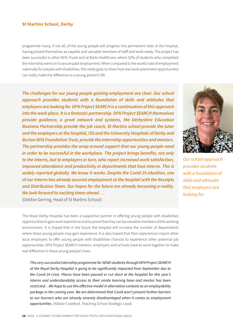programme many, if not all, of the young people will progress into permanent roles at the hospital, having proved themselves as capable and valuable members of staff and work-ready. The project has been successful in other NHS Trusts and at Barts Healthcare, where 52% of students who completed the internship went on to secure paid employment. When compared to the woeful rate of employment nationally for people with disabilities, this really goes to show how real work placement opportunities can really make the difference to a young person's life.

*The challenges for our young people gaining employment are clear. Our school approach provides students with a foundation of skills and attitudes that employers are looking for. DFN Project SEARCH is a continuation of this approach into the work place. It is a fantastic partnership. DFN Project SEARCH themselves provide guidance, a great network and systems, the Derbyshire Education Business Partnership provide the job coach, St Martins school provide the tutor and the employers at the hospital, ISS and the University Hospitals of Derby and Burton NHS Foundation Trust, provide the internship opportunities and mentors. The partnership provides the wrap around support that our young people need in order to be successful in the workplace. The project brings benefits, not only to the interns, but to employers in turn, who report increased work satisfaction, improved attendance and productivity in departments that host interns. This is widely reported globally. We know it works. Despite the Covid-19 situation, one of our interns has already secured employment at the hospital with the Receipts and Distribution Team. Our hopes for the future are already becoming a reality. We look forward to exciting times ahead . . .*



*Our school approach provides students with a foundation of skills and attitudes that employers are looking for.* 

(Debbie Gerring, Head of St Martins School)

The Royal Derby Hospital has been a supportive partner in offering young people with disabilities opportunities to gain work experience and to prove that they can be valuable members of the working environment. It is hoped that in the future the hospital will increase the number of departments where these young people may gain experience. It is also hoped that their experiences inspire other local employers to offer young people with disabilities chances to experience other potential job opportunities. DFN Project SEARCH mentors, employers and schools have to work together to make real difference in these young people's lives.

*This very successful internship programme for SEND students through DFN Project SEARCH at the Royal Derby Hospital is going to be significantly impacted from September due to the Covid-19 crisis. Places have been paused or cut short at the hospital for this year's interns and understandably access to their onsite learning base and mentor has been restricted…We hope to use this effective model in alternative contexts as an employability package in the coming year. We are determined that Covid won't present further barriers to our learners who are already severely disadvantaged when it comes to employment opportunities.* (Alistair Crawford, Teaching School Strategic Lead)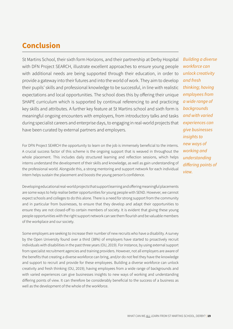# <span id="page-19-0"></span>**Conclusion**

St Martins School, their sixth form Horizons, and their partnership at Derby Hospital with DFN Project SEARCH, illustrate excellent approaches to ensure young people with additional needs are being supported through their education, in order to provide a gateway into their futures and into the world of work. They aim to develop their pupils' skills and professional knowledge to be successful, in line with realistic expectations and local opportunities. The school does this by offering their unique SHAPE curriculum which is supported by continual referencing to and practicing key skills and attributes. A further key feature at St Martins school and sixth form is meaningful ongoing encounters with employers, from introductory talks and tasks during specialist careers and enterprise days, to engaging in real-world projects that have been curated by external partners and employers.

For DFN Project SEARCH the opportunity to learn on the job is immensely beneficial to the interns. A crucial success factor of this scheme is the ongoing support that is weaved in throughout the whole placement. This includes daily structured learning and reflection sessions, which helps interns understand the development of their skills and knowledge, as well as gain understanding of the professional world. Alongside this, a strong mentoring and support network for each individual intern helps sustain the placement and boosts the young person's confidence.

Developing educational real-world projects that support learning and offering meaningful placements are some ways to help realise better opportunities for young people with SEND. However, we cannot expect schools and colleges to do this alone. There is a need for strong support from the community and in particular from businesses, to ensure that they develop and adapt their opportunities to ensure they are not closed-off to certain members of society. It is evident that giving these young people opportunities with the right support network can see them flourish and be valuable members of the workplace and our society.

Some employers are seeking to increase their number of new recruits who have a disability. A survey by the Open University found over a third (38%) of employers have started to proactively recruit individuals with disabilities in the past three years (OU, 2019). For instance, by using external support from specialist recruitment agencies and training providers. However, not all employers are aware of the benefits that creating a diverse workforce can bring, and/or do not feel they have the knowledge and support to recruit and provide for these employees. Building a diverse workforce can unlock creativity and fresh thinking (OU, 2019); having employees from a wide range of backgrounds and with varied experiences can give businesses insights to new ways of working and understanding differing points of view. It can therefore be considerably beneficial to the success of a business as well as the development of the whole of the workforce.

*Building a diverse workforce can unlock creativity and fresh thinking; having employees from a wide range of backgrounds and with varied experiences can give businesses insights to new ways of working and understanding differing points of view.*